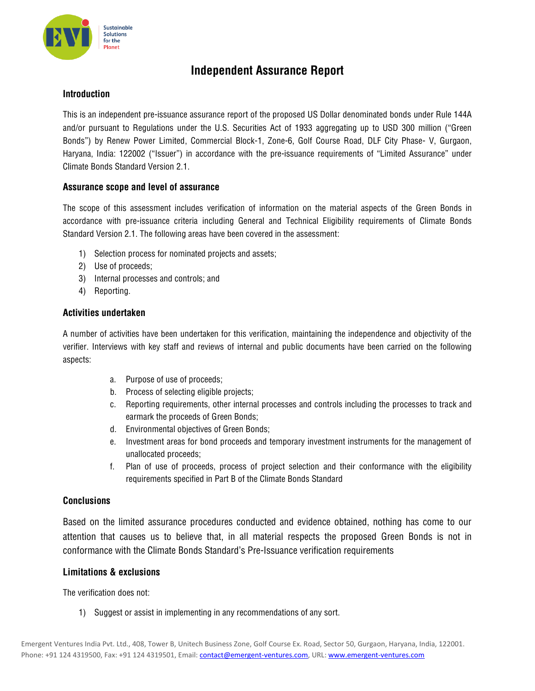

## **Independent Assurance Report**

## **Introduction**

This is an independent pre-issuance assurance report of the proposed US Dollar denominated bonds under Rule 144A and/or pursuant to Regulations under the U.S. Securities Act of 1933 aggregating up to USD 300 million ("Green Bonds") by Renew Power Limited, Commercial Block-1, Zone-6, Golf Course Road, DLF City Phase- V, Gurgaon, Haryana, India: 122002 ("Issuer") in accordance with the pre-issuance requirements of "Limited Assurance" under Climate Bonds Standard Version 2.1.

## **Assurance scope and level of assurance**

The scope of this assessment includes verification of information on the material aspects of the Green Bonds in accordance with pre-issuance criteria including General and Technical Eligibility requirements of Climate Bonds Standard Version 2.1. The following areas have been covered in the assessment:

- 1) Selection process for nominated projects and assets;
- 2) Use of proceeds;
- 3) Internal processes and controls; and
- 4) Reporting.

## **Activities undertaken**

A number of activities have been undertaken for this verification, maintaining the independence and objectivity of the verifier. Interviews with key staff and reviews of internal and public documents have been carried on the following aspects:

- a. Purpose of use of proceeds;
- b. Process of selecting eligible projects;
- c. Reporting requirements, other internal processes and controls including the processes to track and earmark the proceeds of Green Bonds;
- d. Environmental objectives of Green Bonds;
- e. Investment areas for bond proceeds and temporary investment instruments for the management of unallocated proceeds;
- f. Plan of use of proceeds, process of project selection and their conformance with the eligibility requirements specified in Part B of the Climate Bonds Standard

## **Conclusions**

Based on the limited assurance procedures conducted and evidence obtained, nothing has come to our attention that causes us to believe that, in all material respects the proposed Green Bonds is not in conformance with the Climate Bonds Standard's Pre-Issuance verification requirements

#### **Limitations & exclusions**

The verification does not:

1) Suggest or assist in implementing in any recommendations of any sort.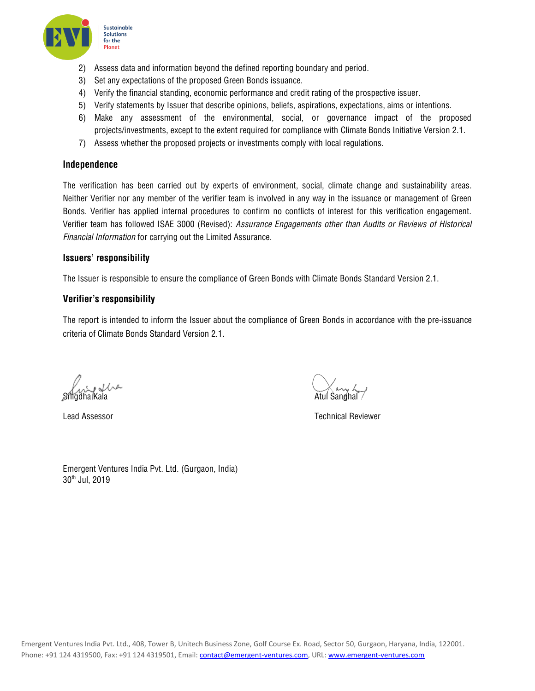

- 2) Assess data and information beyond the defined reporting boundary and period.
- 3) Set any expectations of the proposed Green Bonds issuance.
- 4) Verify the financial standing, economic performance and credit rating of the prospective issuer.
- 5) Verify statements by Issuer that describe opinions, beliefs, aspirations, expectations, aims or intentions.
- 6) Make any assessment of the environmental, social, or governance impact of the proposed projects/investments, except to the extent required for compliance with Climate Bonds Initiative Version 2.1.
- 7) Assess whether the proposed projects or investments comply with local regulations.

#### **Independence**

The verification has been carried out by experts of environment, social, climate change and sustainability areas. Neither Verifier nor any member of the verifier team is involved in any way in the issuance or management of Green Bonds. Verifier has applied internal procedures to confirm no conflicts of interest for this verification engagement. Verifier team has followed ISAE 3000 (Revised): *Assurance Engagements other than Audits or Reviews of Historical Financial Information* for carrying out the Limited Assurance.

#### **Issuers' responsibility**

The Issuer is responsible to ensure the compliance of Green Bonds with Climate Bonds Standard Version 2.1.

#### **Verifier's responsibility**

The report is intended to inform the Issuer about the compliance of Green Bonds in accordance with the pre-issuance criteria of Climate Bonds Standard Version 2.1.

Snigdha Kala Atul Sanghal Atul Sanghal Atul Sanghal Atul Sanghal Atul Sanghal Atul Sanghal Atul Sanghal Atul Sanghal

Lead Assessor Technical Reviewer

Emergent Ventures India Pvt. Ltd. (Gurgaon, India) 30th Jul, 2019